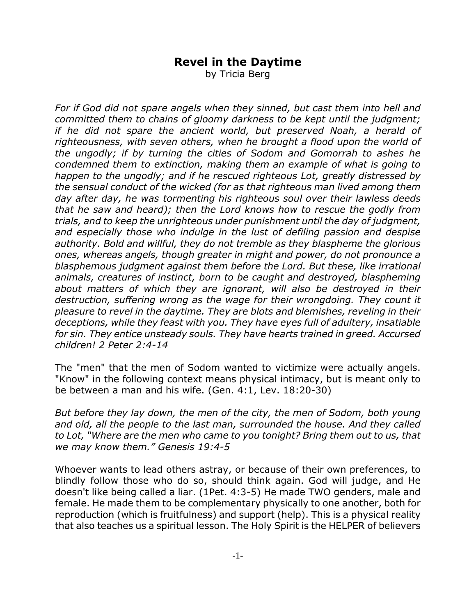## **Revel in the Daytime**

by Tricia Berg

*For if God did not spare angels when they sinned, but cast them into hell and committed them to chains of gloomy darkness to be kept until the judgment; if he did not spare the ancient world, but preserved Noah, a herald of righteousness, with seven others, when he brought a flood upon the world of the ungodly; if by turning the cities of Sodom and Gomorrah to ashes he condemned them to extinction, making them an example of what is going to happen to the ungodly; and if he rescued righteous Lot, greatly distressed by the sensual conduct of the wicked (for as that righteous man lived among them day after day, he was tormenting his righteous soul over their lawless deeds that he saw and heard); then the Lord knows how to rescue the godly from trials, and to keep the unrighteous under punishment until the day of judgment, and especially those who indulge in the lust of defiling passion and despise authority. Bold and willful, they do not tremble as they blaspheme the glorious ones, whereas angels, though greater in might and power, do not pronounce a blasphemous judgment against them before the Lord. But these, like irrational animals, creatures of instinct, born to be caught and destroyed, blaspheming about matters of which they are ignorant, will also be destroyed in their destruction, suffering wrong as the wage for their wrongdoing. They count it pleasure to revel in the daytime. They are blots and blemishes, reveling in their deceptions, while they feast with you. They have eyes full of adultery, insatiable for sin. They entice unsteady souls. They have hearts trained in greed. Accursed children! 2 Peter 2:4-14*

The "men" that the men of Sodom wanted to victimize were actually angels. "Know" in the following context means physical intimacy, but is meant only to be between a man and his wife. (Gen. 4:1, Lev. 18:20-30)

*But before they lay down, the men of the city, the men of Sodom, both young and old, all the people to the last man, surrounded the house. And they called to Lot, "Where are the men who came to you tonight? Bring them out to us, that we may know them." Genesis 19:4-5*

Whoever wants to lead others astray, or because of their own preferences, to blindly follow those who do so, should think again. God will judge, and He doesn't like being called a liar. (1Pet. 4:3-5) He made TWO genders, male and female. He made them to be complementary physically to one another, both for reproduction (which is fruitfulness) and support (help). This is a physical reality that also teaches us a spiritual lesson. The Holy Spirit is the HELPER of believers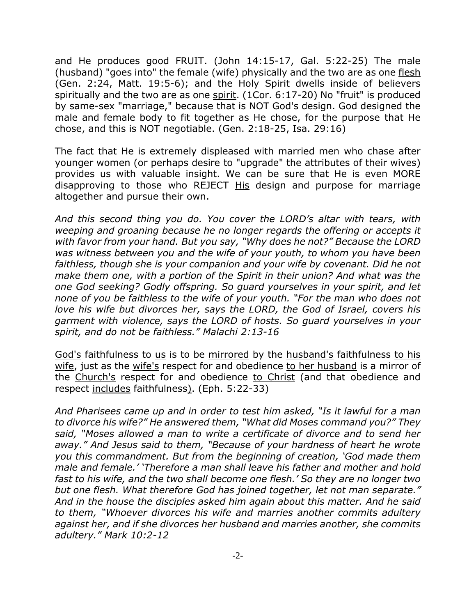and He produces good FRUIT. (John 14:15-17, Gal. 5:22-25) The male (husband) "goes into" the female (wife) physically and the two are as one flesh (Gen. 2:24, Matt. 19:5-6); and the Holy Spirit dwells inside of believers spiritually and the two are as one spirit. (1Cor. 6:17-20) No "fruit" is produced by same-sex "marriage," because that is NOT God's design. God designed the male and female body to fit together as He chose, for the purpose that He chose, and this is NOT negotiable. (Gen. 2:18-25, Isa. 29:16)

The fact that He is extremely displeased with married men who chase after younger women (or perhaps desire to "upgrade" the attributes of their wives) provides us with valuable insight. We can be sure that He is even MORE disapproving to those who REJECT His design and purpose for marriage altogether and pursue their own.

*And this second thing you do. You cover the LORD's altar with tears, with weeping and groaning because he no longer regards the offering or accepts it with favor from your hand. But you say, "Why does he not?" Because the LORD was witness between you and the wife of your youth, to whom you have been faithless, though she is your companion and your wife by covenant. Did he not make them one, with a portion of the Spirit in their union? And what was the one God seeking? Godly offspring. So guard yourselves in your spirit, and let none of you be faithless to the wife of your youth. "For the man who does not love his wife but divorces her, says the LORD, the God of Israel, covers his garment with violence, says the LORD of hosts. So guard yourselves in your spirit, and do not be faithless." Malachi 2:13-16*

God's faithfulness to us is to be mirrored by the husband's faithfulness to his wife, just as the wife's respect for and obedience to her husband is a mirror of the Church's respect for and obedience to Christ (and that obedience and respect includes faithfulness). (Eph. 5:22-33)

*And Pharisees came up and in order to test him asked, "Is it lawful for a man to divorce his wife?" He answered them, "What did Moses command you?" They said, "Moses allowed a man to write a certificate of divorce and to send her away." And Jesus said to them, "Because of your hardness of heart he wrote you this commandment. But from the beginning of creation, 'God made them male and female.' 'Therefore a man shall leave his father and mother and hold fast to his wife, and the two shall become one flesh.' So they are no longer two but one flesh. What therefore God has joined together, let not man separate." And in the house the disciples asked him again about this matter. And he said to them, "Whoever divorces his wife and marries another commits adultery against her, and if she divorces her husband and marries another, she commits adultery." Mark 10:2-12*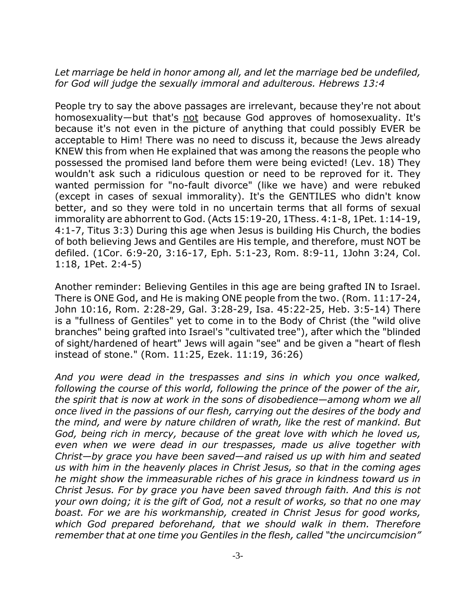## *Let marriage be held in honor among all, and let the marriage bed be undefiled, for God will judge the sexually immoral and adulterous. Hebrews 13:4*

People try to say the above passages are irrelevant, because they're not about homosexuality—but that's not because God approves of homosexuality. It's because it's not even in the picture of anything that could possibly EVER be acceptable to Him! There was no need to discuss it, because the Jews already KNEW this from when He explained that was among the reasons the people who possessed the promised land before them were being evicted! (Lev. 18) They wouldn't ask such a ridiculous question or need to be reproved for it. They wanted permission for "no-fault divorce" (like we have) and were rebuked (except in cases of sexual immorality). It's the GENTILES who didn't know better, and so they were told in no uncertain terms that all forms of sexual immorality are abhorrent to God. (Acts 15:19-20, 1Thess. 4:1-8, 1Pet. 1:14-19, 4:1-7, Titus 3:3) During this age when Jesus is building His Church, the bodies of both believing Jews and Gentiles are His temple, and therefore, must NOT be defiled. (1Cor. 6:9-20, 3:16-17, Eph. 5:1-23, Rom. 8:9-11, 1John 3:24, Col. 1:18, 1Pet. 2:4-5)

Another reminder: Believing Gentiles in this age are being grafted IN to Israel. There is ONE God, and He is making ONE people from the two. (Rom. 11:17-24, John 10:16, Rom. 2:28-29, Gal. 3:28-29, Isa. 45:22-25, Heb. 3:5-14) There is a "fullness of Gentiles" yet to come in to the Body of Christ (the "wild olive branches" being grafted into Israel's "cultivated tree"), after which the "blinded of sight/hardened of heart" Jews will again "see" and be given a "heart of flesh instead of stone." (Rom. 11:25, Ezek. 11:19, 36:26)

*And you were dead in the trespasses and sins in which you once walked, following the course of this world, following the prince of the power of the air, the spirit that is now at work in the sons of disobedience—among whom we all once lived in the passions of our flesh, carrying out the desires of the body and the mind, and were by nature children of wrath, like the rest of mankind. But God, being rich in mercy, because of the great love with which he loved us, even when we were dead in our trespasses, made us alive together with Christ—by grace you have been saved—and raised us up with him and seated us with him in the heavenly places in Christ Jesus, so that in the coming ages he might show the immeasurable riches of his grace in kindness toward us in Christ Jesus. For by grace you have been saved through faith. And this is not your own doing; it is the gift of God, not a result of works, so that no one may boast. For we are his workmanship, created in Christ Jesus for good works, which God prepared beforehand, that we should walk in them. Therefore remember that at one time you Gentiles in the flesh, called "the uncircumcision"*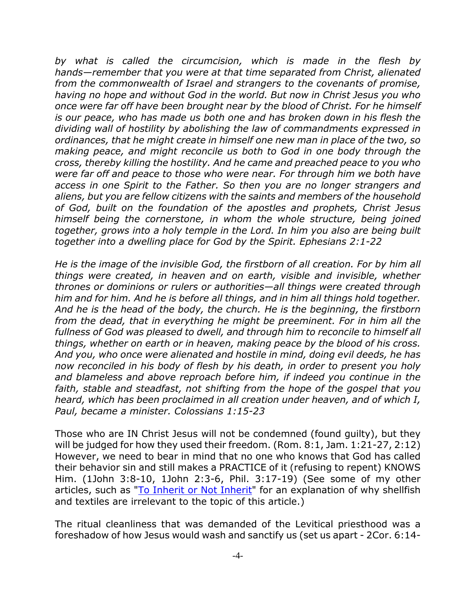*by what is called the circumcision, which is made in the flesh by hands—remember that you were at that time separated from Christ, alienated from the commonwealth of Israel and strangers to the covenants of promise, having no hope and without God in the world. But now in Christ Jesus you who once were far off have been brought near by the blood of Christ. For he himself is our peace, who has made us both one and has broken down in his flesh the dividing wall of hostility by abolishing the law of commandments expressed in ordinances, that he might create in himself one new man in place of the two, so making peace, and might reconcile us both to God in one body through the cross, thereby killing the hostility. And he came and preached peace to you who were far off and peace to those who were near. For through him we both have access in one Spirit to the Father. So then you are no longer strangers and aliens, but you are fellow citizens with the saints and members of the household of God, built on the foundation of the apostles and prophets, Christ Jesus himself being the cornerstone, in whom the whole structure, being joined together, grows into a holy temple in the Lord. In him you also are being built together into a dwelling place for God by the Spirit. Ephesians 2:1-22*

*He is the image of the invisible God, the firstborn of all creation. For by him all things were created, in heaven and on earth, visible and invisible, whether thrones or dominions or rulers or authorities—all things were created through him and for him. And he is before all things, and in him all things hold together. And he is the head of the body, the church. He is the beginning, the firstborn from the dead, that in everything he might be preeminent. For in him all the fullness of God was pleased to dwell, and through him to reconcile to himself all things, whether on earth or in heaven, making peace by the blood of his cross. And you, who once were alienated and hostile in mind, doing evil deeds, he has now reconciled in his body of flesh by his death, in order to present you holy and blameless and above reproach before him, if indeed you continue in the faith, stable and steadfast, not shifting from the hope of the gospel that you heard, which has been proclaimed in all creation under heaven, and of which I, Paul, became a minister. Colossians 1:15-23*

Those who are IN Christ Jesus will not be condemned (found guilty), but they will be judged for how they used their freedom. (Rom. 8:1, Jam. 1:21-27, 2:12) However, we need to bear in mind that no one who knows that God has called their behavior sin and still makes a PRACTICE of it (refusing to repent) KNOWS Him. (1John 3:8-10, 1John 2:3-6, Phil. 3:17-19) (See some of my other articles, such as "To Inherit or Not Inherit" for an explanation of why shellfish and textiles are irrelevant to the topic of this article.)

The ritual cleanliness that was demanded of the Levitical priesthood was a foreshadow of how Jesus would wash and sanctify us (set us apart - 2Cor. 6:14-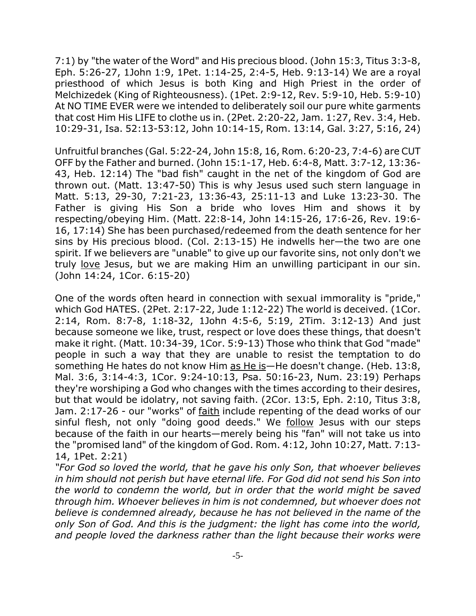7:1) by "the water of the Word" and His precious blood. (John 15:3, Titus 3:3-8, Eph. 5:26-27, 1John 1:9, 1Pet. 1:14-25, 2:4-5, Heb. 9:13-14) We are a royal priesthood of which Jesus is both King and High Priest in the order of Melchizedek (King of Righteousness). (1Pet. 2:9-12, Rev. 5:9-10, Heb. 5:9-10) At NO TIME EVER were we intended to deliberately soil our pure white garments that cost Him His LIFE to clothe us in. (2Pet. 2:20-22, Jam. 1:27, Rev. 3:4, Heb. 10:29-31, Isa. 52:13-53:12, John 10:14-15, Rom. 13:14, Gal. 3:27, 5:16, 24)

Unfruitful branches (Gal. 5:22-24, John 15:8, 16, Rom. 6:20-23, 7:4-6) are CUT OFF by the Father and burned. (John 15:1-17, Heb. 6:4-8, Matt. 3:7-12, 13:36- 43, Heb. 12:14) The "bad fish" caught in the net of the kingdom of God are thrown out. (Matt. 13:47-50) This is why Jesus used such stern language in Matt. 5:13, 29-30, 7:21-23, 13:36-43, 25:11-13 and Luke 13:23-30. The Father is giving His Son a bride who loves Him and shows it by respecting/obeying Him. (Matt. 22:8-14, John 14:15-26, 17:6-26, Rev. 19:6- 16, 17:14) She has been purchased/redeemed from the death sentence for her sins by His precious blood. (Col. 2:13-15) He indwells her—the two are one spirit. If we believers are "unable" to give up our favorite sins, not only don't we truly love Jesus, but we are making Him an unwilling participant in our sin. (John 14:24, 1Cor. 6:15-20)

One of the words often heard in connection with sexual immorality is "pride," which God HATES. (2Pet. 2:17-22, Jude 1:12-22) The world is deceived. (1Cor. 2:14, Rom. 8:7-8, 1:18-32, 1John 4:5-6, 5:19, 2Tim. 3:12-13) And just because someone we like, trust, respect or love does these things, that doesn't make it right. (Matt. 10:34-39, 1Cor. 5:9-13) Those who think that God "made" people in such a way that they are unable to resist the temptation to do something He hates do not know Him as He is—He doesn't change. (Heb. 13:8, Mal. 3:6, 3:14-4:3, 1Cor. 9:24-10:13, Psa. 50:16-23, Num. 23:19) Perhaps they're worshiping a God who changes with the times according to their desires, but that would be idolatry, not saving faith. (2Cor. 13:5, Eph. 2:10, Titus 3:8, Jam. 2:17-26 - our "works" of faith include repenting of the dead works of our sinful flesh, not only "doing good deeds." We follow Jesus with our steps because of the faith in our hearts—merely being his "fan" will not take us into the "promised land" of the kingdom of God. Rom. 4:12, John 10:27, Matt. 7:13- 14, 1Pet. 2:21)

*"For God so loved the world, that he gave his only Son, that whoever believes in him should not perish but have eternal life. For God did not send his Son into the world to condemn the world, but in order that the world might be saved through him. Whoever believes in him is not condemned, but whoever does not believe is condemned already, because he has not believed in the name of the only Son of God. And this is the judgment: the light has come into the world, and people loved the darkness rather than the light because their works were*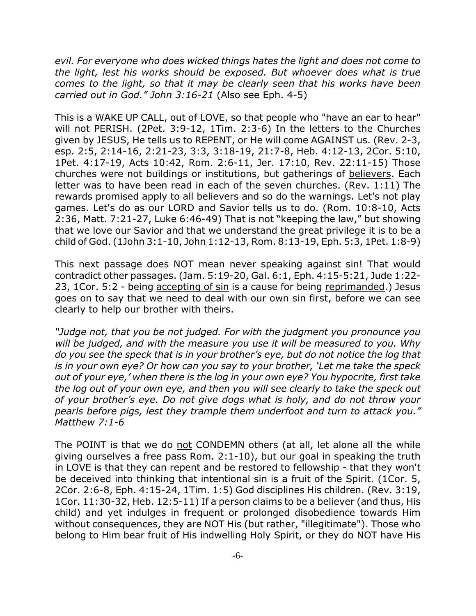*evil. For everyone who does wicked things hates the light and does not come to the light, lest his works should be exposed. But whoever does what is true comes to the light, so that it may be clearly seen that his works have been carried out in God." John 3:16-21* (Also see Eph. 4-5)

This is a WAKE UP CALL, out of LOVE, so that people who "have an ear to hear" will not PERISH. (2Pet. 3:9-12, 1Tim. 2:3-6) In the letters to the Churches given by JESUS, He tells us to REPENT, or He will come AGAINST us. (Rev. 2-3, esp. 2:5, 2:14-16, 2:21-23, 3:3, 3:18-19, 21:7-8, Heb. 4:12-13, 2Cor. 5:10, 1Pet. 4:17-19, Acts 10:42, Rom. 2:6-11, Jer. 17:10, Rev. 22:11-15) Those churches were not buildings or institutions, but gatherings of believers. Each letter was to have been read in each of the seven churches. (Rev. 1:11) The rewards promised apply to all believers and so do the warnings. Let's not play games. Let's do as our LORD and Savior tells us to do. (Rom. 10:8-10, Acts 2:36, Matt. 7:21-27, Luke 6:46-49) That is not "keeping the law," but showing that we love our Savior and that we understand the great privilege it is to be a child of God. (1John 3:1-10, John 1:12-13, Rom. 8:13-19, Eph. 5:3, 1Pet. 1:8-9)

This next passage does NOT mean never speaking against sin! That would contradict other passages. (Jam. 5:19-20, Gal. 6:1, Eph. 4:15-5:21, Jude 1:22- 23, 1Cor. 5:2 - being accepting of sin is a cause for being reprimanded.) Jesus goes on to say that we need to deal with our own sin first, before we can see clearly to help our brother with theirs.

*"Judge not, that you be not judged. For with the judgment you pronounce you will be judged, and with the measure you use it will be measured to you. Why do you see the speck that is in your brother's eye, but do not notice the log that is in your own eye? Or how can you say to your brother, 'Let me take the speck out of your eye,' when there is the log in your own eye? You hypocrite, first take the log out of your own eye, and then you will see clearly to take the speck out of your brother's eye. Do not give dogs what is holy, and do not throw your pearls before pigs, lest they trample them underfoot and turn to attack you." Matthew 7:1-6*

The POINT is that we do not CONDEMN others (at all, let alone all the while giving ourselves a free pass Rom. 2:1-10), but our goal in speaking the truth in LOVE is that they can repent and be restored to fellowship - that they won't be deceived into thinking that intentional sin is a fruit of the Spirit. (1Cor. 5, 2Cor. 2:6-8, Eph. 4:15-24, 1Tim. 1:5) God disciplines His children. (Rev. 3:19, 1Cor. 11:30-32, Heb. 12:5-11) If a person claims to be a believer (and thus, His child) and yet indulges in frequent or prolonged disobedience towards Him without consequences, they are NOT His (but rather, "illegitimate"). Those who belong to Him bear fruit of His indwelling Holy Spirit, or they do NOT have His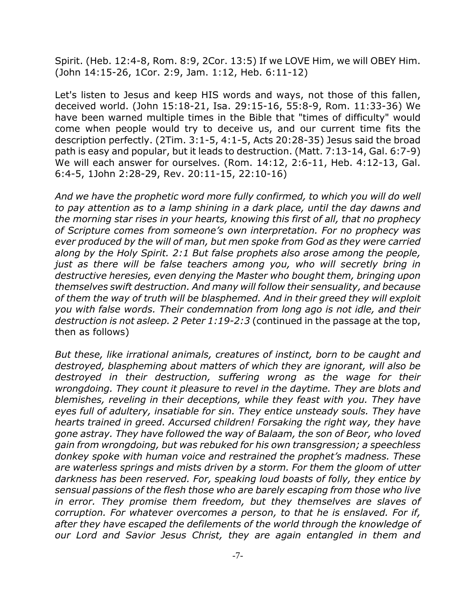Spirit. (Heb. 12:4-8, Rom. 8:9, 2Cor. 13:5) If we LOVE Him, we will OBEY Him. (John 14:15-26, 1Cor. 2:9, Jam. 1:12, Heb. 6:11-12)

Let's listen to Jesus and keep HIS words and ways, not those of this fallen, deceived world. (John 15:18-21, Isa. 29:15-16, 55:8-9, Rom. 11:33-36) We have been warned multiple times in the Bible that "times of difficulty" would come when people would try to deceive us, and our current time fits the description perfectly. (2Tim. 3:1-5, 4:1-5, Acts 20:28-35) Jesus said the broad path is easy and popular, but it leads to destruction. (Matt. 7:13-14, Gal. 6:7-9) We will each answer for ourselves. (Rom. 14:12, 2:6-11, Heb. 4:12-13, Gal. 6:4-5, 1John 2:28-29, Rev. 20:11-15, 22:10-16)

*And we have the prophetic word more fully confirmed, to which you will do well to pay attention as to a lamp shining in a dark place, until the day dawns and the morning star rises in your hearts, knowing this first of all, that no prophecy of Scripture comes from someone's own interpretation. For no prophecy was ever produced by the will of man, but men spoke from God as they were carried along by the Holy Spirit. 2:1 But false prophets also arose among the people, just as there will be false teachers among you, who will secretly bring in destructive heresies, even denying the Master who bought them, bringing upon themselves swift destruction. And many will follow their sensuality, and because of them the way of truth will be blasphemed. And in their greed they will exploit you with false words. Their condemnation from long ago is not idle, and their destruction is not asleep. 2 Peter 1:19-2:3* (continued in the passage at the top, then as follows)

*But these, like irrational animals, creatures of instinct, born to be caught and destroyed, blaspheming about matters of which they are ignorant, will also be destroyed in their destruction, suffering wrong as the wage for their wrongdoing. They count it pleasure to revel in the daytime. They are blots and blemishes, reveling in their deceptions, while they feast with you. They have eyes full of adultery, insatiable for sin. They entice unsteady souls. They have hearts trained in greed. Accursed children! Forsaking the right way, they have gone astray. They have followed the way of Balaam, the son of Beor, who loved gain from wrongdoing, but was rebuked for his own transgression; a speechless donkey spoke with human voice and restrained the prophet's madness. These are waterless springs and mists driven by a storm. For them the gloom of utter darkness has been reserved. For, speaking loud boasts of folly, they entice by sensual passions of the flesh those who are barely escaping from those who live in error. They promise them freedom, but they themselves are slaves of corruption. For whatever overcomes a person, to that he is enslaved. For if, after they have escaped the defilements of the world through the knowledge of our Lord and Savior Jesus Christ, they are again entangled in them and*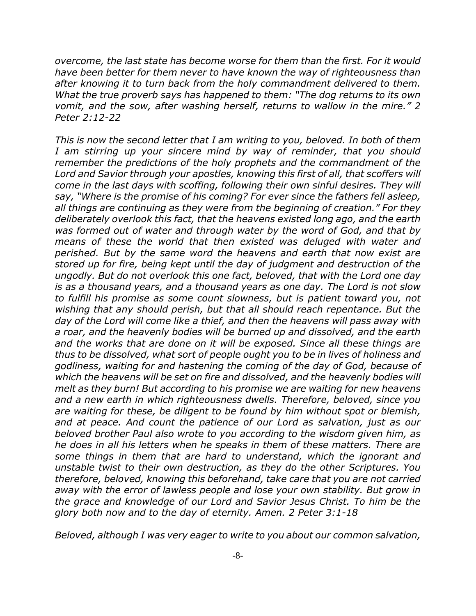*overcome, the last state has become worse for them than the first. For it would have been better for them never to have known the way of righteousness than after knowing it to turn back from the holy commandment delivered to them. What the true proverb says has happened to them: "The dog returns to its own vomit, and the sow, after washing herself, returns to wallow in the mire." 2 Peter 2:12-22*

*This is now the second letter that I am writing to you, beloved. In both of them I am stirring up your sincere mind by way of reminder, that you should remember the predictions of the holy prophets and the commandment of the Lord and Savior through your apostles, knowing this first of all, that scoffers will come in the last days with scoffing, following their own sinful desires. They will say, "Where is the promise of his coming? For ever since the fathers fell asleep, all things are continuing as they were from the beginning of creation." For they deliberately overlook this fact, that the heavens existed long ago, and the earth was formed out of water and through water by the word of God, and that by means of these the world that then existed was deluged with water and perished. But by the same word the heavens and earth that now exist are stored up for fire, being kept until the day of judgment and destruction of the ungodly. But do not overlook this one fact, beloved, that with the Lord one day is as a thousand years, and a thousand years as one day. The Lord is not slow to fulfill his promise as some count slowness, but is patient toward you, not wishing that any should perish, but that all should reach repentance. But the day of the Lord will come like a thief, and then the heavens will pass away with a roar, and the heavenly bodies will be burned up and dissolved, and the earth and the works that are done on it will be exposed. Since all these things are thus to be dissolved, what sort of people ought you to be in lives of holiness and godliness, waiting for and hastening the coming of the day of God, because of which the heavens will be set on fire and dissolved, and the heavenly bodies will melt as they burn! But according to his promise we are waiting for new heavens and a new earth in which righteousness dwells. Therefore, beloved, since you are waiting for these, be diligent to be found by him without spot or blemish, and at peace. And count the patience of our Lord as salvation, just as our beloved brother Paul also wrote to you according to the wisdom given him, as he does in all his letters when he speaks in them of these matters. There are some things in them that are hard to understand, which the ignorant and unstable twist to their own destruction, as they do the other Scriptures. You therefore, beloved, knowing this beforehand, take care that you are not carried away with the error of lawless people and lose your own stability. But grow in the grace and knowledge of our Lord and Savior Jesus Christ. To him be the glory both now and to the day of eternity. Amen. 2 Peter 3:1-18*

*Beloved, although I was very eager to write to you about our common salvation,*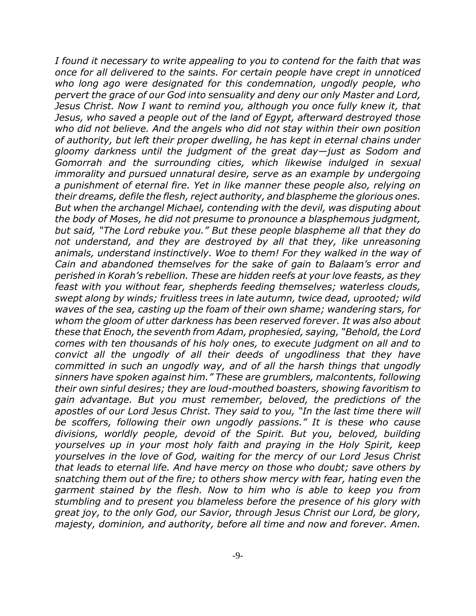*I found it necessary to write appealing to you to contend for the faith that was once for all delivered to the saints. For certain people have crept in unnoticed who long ago were designated for this condemnation, ungodly people, who pervert the grace of our God into sensuality and deny our only Master and Lord, Jesus Christ. Now I want to remind you, although you once fully knew it, that Jesus, who saved a people out of the land of Egypt, afterward destroyed those who did not believe. And the angels who did not stay within their own position of authority, but left their proper dwelling, he has kept in eternal chains under gloomy darkness until the judgment of the great day—just as Sodom and Gomorrah and the surrounding cities, which likewise indulged in sexual immorality and pursued unnatural desire, serve as an example by undergoing a punishment of eternal fire. Yet in like manner these people also, relying on their dreams, defile the flesh, reject authority, and blaspheme the glorious ones. But when the archangel Michael, contending with the devil, was disputing about the body of Moses, he did not presume to pronounce a blasphemous judgment, but said, "The Lord rebuke you." But these people blaspheme all that they do not understand, and they are destroyed by all that they, like unreasoning animals, understand instinctively. Woe to them! For they walked in the way of Cain and abandoned themselves for the sake of gain to Balaam's error and perished in Korah's rebellion. These are hidden reefs at your love feasts, as they feast with you without fear, shepherds feeding themselves; waterless clouds, swept along by winds; fruitless trees in late autumn, twice dead, uprooted; wild waves of the sea, casting up the foam of their own shame; wandering stars, for whom the gloom of utter darkness has been reserved forever. It was also about these that Enoch, the seventh from Adam, prophesied, saying, "Behold, the Lord comes with ten thousands of his holy ones, to execute judgment on all and to convict all the ungodly of all their deeds of ungodliness that they have committed in such an ungodly way, and of all the harsh things that ungodly sinners have spoken against him." These are grumblers, malcontents, following their own sinful desires; they are loud-mouthed boasters, showing favoritism to gain advantage. But you must remember, beloved, the predictions of the apostles of our Lord Jesus Christ. They said to you, "In the last time there will be scoffers, following their own ungodly passions." It is these who cause divisions, worldly people, devoid of the Spirit. But you, beloved, building yourselves up in your most holy faith and praying in the Holy Spirit, keep yourselves in the love of God, waiting for the mercy of our Lord Jesus Christ that leads to eternal life. And have mercy on those who doubt; save others by snatching them out of the fire; to others show mercy with fear, hating even the garment stained by the flesh. Now to him who is able to keep you from stumbling and to present you blameless before the presence of his glory with great joy, to the only God, our Savior, through Jesus Christ our Lord, be glory, majesty, dominion, and authority, before all time and now and forever. Amen.*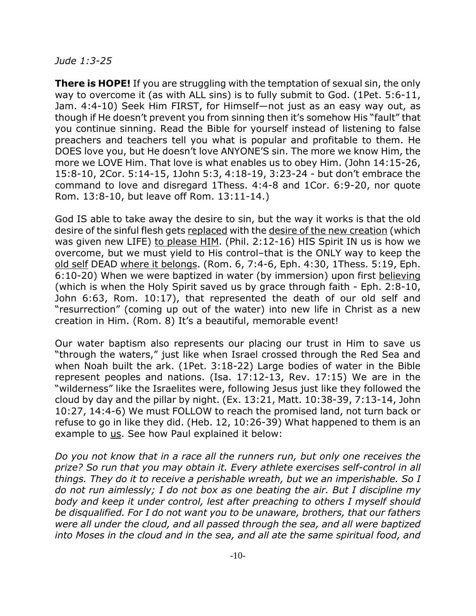## *Jude 1:3-25*

**There is HOPE!** If you are struggling with the temptation of sexual sin, the only way to overcome it (as with ALL sins) is to fully submit to God. (1Pet. 5:6-11, Jam. 4:4-10) Seek Him FIRST, for Himself—not just as an easy way out, as though if He doesn't prevent you from sinning then it's somehow His "fault" that you continue sinning. Read the Bible for yourself instead of listening to false preachers and teachers tell you what is popular and profitable to them. He DOES love you, but He doesn't love ANYONE'S sin. The more we know Him, the more we LOVE Him. That love is what enables us to obey Him. (John 14:15-26, 15:8-10, 2Cor. 5:14-15, 1John 5:3, 4:18-19, 3:23-24 - but don't embrace the command to love and disregard 1Thess. 4:4-8 and 1Cor. 6:9-20, nor quote Rom. 13:8-10, but leave off Rom. 13:11-14.)

God IS able to take away the desire to sin, but the way it works is that the old desire of the sinful flesh gets replaced with the desire of the new creation (which was given new LIFE) to please HIM. (Phil. 2:12-16) HIS Spirit IN us is how we overcome, but we must yield to His control–that is the ONLY way to keep the old self DEAD where it belongs. (Rom. 6, 7:4-6, Eph. 4:30, 1Thess. 5:19, Eph. 6:10-20) When we were baptized in water (by immersion) upon first believing (which is when the Holy Spirit saved us by grace through faith - Eph. 2:8-10, John 6:63, Rom. 10:17), that represented the death of our old self and "resurrection" (coming up out of the water) into new life in Christ as a new creation in Him. (Rom. 8) It's a beautiful, memorable event!

Our water baptism also represents our placing our trust in Him to save us "through the waters," just like when Israel crossed through the Red Sea and when Noah built the ark. (1Pet. 3:18-22) Large bodies of water in the Bible represent peoples and nations. (Isa. 17:12-13, Rev. 17:15) We are in the "wilderness" like the Israelites were, following Jesus just like they followed the cloud by day and the pillar by night. (Ex. 13:21, Matt. 10:38-39, 7:13-14, John 10:27, 14:4-6) We must FOLLOW to reach the promised land, not turn back or refuse to go in like they did. (Heb. 12, 10:26-39) What happened to them is an example to us. See how Paul explained it below:

*Do you not know that in a race all the runners run, but only one receives the prize? So run that you may obtain it. Every athlete exercises self-control in all things. They do it to receive a perishable wreath, but we an imperishable. So I do not run aimlessly; I do not box as one beating the air. But I discipline my body and keep it under control, lest after preaching to others I myself should be disqualified. For I do not want you to be unaware, brothers, that our fathers were all under the cloud, and all passed through the sea, and all were baptized into Moses in the cloud and in the sea, and all ate the same spiritual food, and*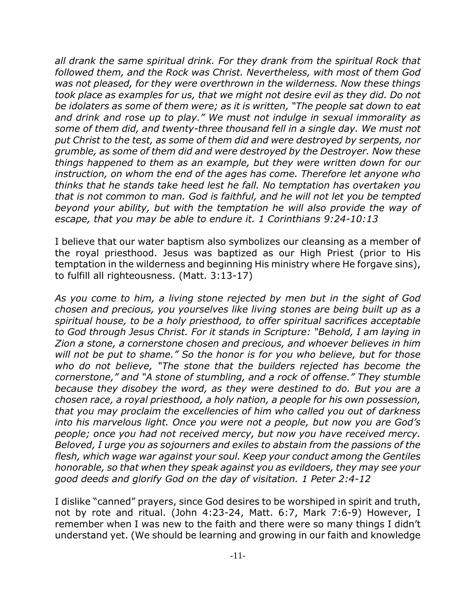*all drank the same spiritual drink. For they drank from the spiritual Rock that followed them, and the Rock was Christ. Nevertheless, with most of them God was not pleased, for they were overthrown in the wilderness. Now these things took place as examples for us, that we might not desire evil as they did. Do not be idolaters as some of them were; as it is written, "The people sat down to eat and drink and rose up to play." We must not indulge in sexual immorality as some of them did, and twenty-three thousand fell in a single day. We must not put Christ to the test, as some of them did and were destroyed by serpents, nor grumble, as some of them did and were destroyed by the Destroyer. Now these things happened to them as an example, but they were written down for our instruction, on whom the end of the ages has come. Therefore let anyone who thinks that he stands take heed lest he fall. No temptation has overtaken you that is not common to man. God is faithful, and he will not let you be tempted beyond your ability, but with the temptation he will also provide the way of escape, that you may be able to endure it. 1 Corinthians 9:24-10:13*

I believe that our water baptism also symbolizes our cleansing as a member of the royal priesthood. Jesus was baptized as our High Priest (prior to His temptation in the wilderness and beginning His ministry where He forgave sins), to fulfill all righteousness. (Matt. 3:13-17)

*As you come to him, a living stone rejected by men but in the sight of God chosen and precious, you yourselves like living stones are being built up as a spiritual house, to be a holy priesthood, to offer spiritual sacrifices acceptable to God through Jesus Christ. For it stands in Scripture: "Behold, I am laying in Zion a stone, a cornerstone chosen and precious, and whoever believes in him will not be put to shame." So the honor is for you who believe, but for those who do not believe, "The stone that the builders rejected has become the cornerstone," and "A stone of stumbling, and a rock of offense." They stumble because they disobey the word, as they were destined to do. But you are a chosen race, a royal priesthood, a holy nation, a people for his own possession, that you may proclaim the excellencies of him who called you out of darkness into his marvelous light. Once you were not a people, but now you are God's people; once you had not received mercy, but now you have received mercy. Beloved, I urge you as sojourners and exiles to abstain from the passions of the flesh, which wage war against your soul. Keep your conduct among the Gentiles honorable, so that when they speak against you as evildoers, they may see your good deeds and glorify God on the day of visitation. 1 Peter 2:4-12*

I dislike "canned" prayers, since God desires to be worshiped in spirit and truth, not by rote and ritual. (John 4:23-24, Matt. 6:7, Mark 7:6-9) However, I remember when I was new to the faith and there were so many things I didn't understand yet. (We should be learning and growing in our faith and knowledge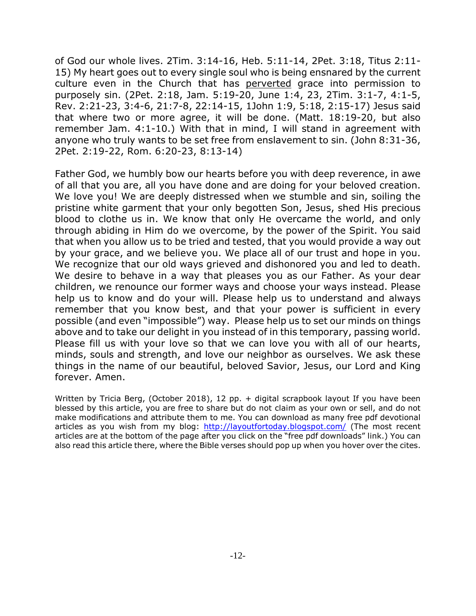of God our whole lives. 2Tim. 3:14-16, Heb. 5:11-14, 2Pet. 3:18, Titus 2:11- 15) My heart goes out to every single soul who is being ensnared by the current culture even in the Church that has perverted grace into permission to purposely sin. (2Pet. 2:18, Jam. 5:19-20, June 1:4, 23, 2Tim. 3:1-7, 4:1-5, Rev. 2:21-23, 3:4-6, 21:7-8, 22:14-15, 1John 1:9, 5:18, 2:15-17) Jesus said that where two or more agree, it will be done. (Matt. 18:19-20, but also remember Jam. 4:1-10.) With that in mind, I will stand in agreement with anyone who truly wants to be set free from enslavement to sin. (John 8:31-36, 2Pet. 2:19-22, Rom. 6:20-23, 8:13-14)

Father God, we humbly bow our hearts before you with deep reverence, in awe of all that you are, all you have done and are doing for your beloved creation. We love you! We are deeply distressed when we stumble and sin, soiling the pristine white garment that your only begotten Son, Jesus, shed His precious blood to clothe us in. We know that only He overcame the world, and only through abiding in Him do we overcome, by the power of the Spirit. You said that when you allow us to be tried and tested, that you would provide a way out by your grace, and we believe you. We place all of our trust and hope in you. We recognize that our old ways grieved and dishonored you and led to death. We desire to behave in a way that pleases you as our Father. As your dear children, we renounce our former ways and choose your ways instead. Please help us to know and do your will. Please help us to understand and always remember that you know best, and that your power is sufficient in every possible (and even "impossible") way. Please help us to set our minds on things above and to take our delight in you instead of in this temporary, passing world. Please fill us with your love so that we can love you with all of our hearts, minds, souls and strength, and love our neighbor as ourselves. We ask these things in the name of our beautiful, beloved Savior, Jesus, our Lord and King forever. Amen.

Written by Tricia Berg, (October 2018), 12 pp. + digital scrapbook layout If you have been blessed by this article, you are free to share but do not claim as your own or sell, and do not make modifications and attribute them to me. You can download as many free pdf devotional articles as you wish from my blog: http://layoutfortoday.blogspot.com/ (The most recent articles are at the bottom of the page after you click on the "free pdf downloads" link.) You can also read this article there, where the Bible verses should pop up when you hover over the cites.